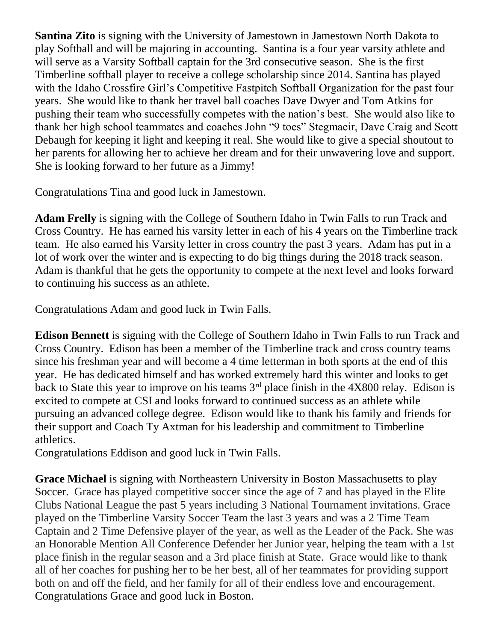**Santina Zito** is signing with the University of Jamestown in Jamestown North Dakota to play Softball and will be majoring in accounting. Santina is a four year varsity athlete and will serve as a Varsity Softball captain for the 3rd consecutive season. She is the first Timberline softball player to receive a college scholarship since 2014. Santina has played with the Idaho Crossfire Girl's Competitive Fastpitch Softball Organization for the past four years. She would like to thank her travel ball coaches Dave Dwyer and Tom Atkins for pushing their team who successfully competes with the nation's best. She would also like to thank her high school teammates and coaches John "9 toes" Stegmaeir, Dave Craig and Scott Debaugh for keeping it light and keeping it real. She would like to give a special shoutout to her parents for allowing her to achieve her dream and for their unwavering love and support. She is looking forward to her future as a Jimmy!

Congratulations Tina and good luck in Jamestown.

**Adam Frelly** is signing with the College of Southern Idaho in Twin Falls to run Track and Cross Country. He has earned his varsity letter in each of his 4 years on the Timberline track team. He also earned his Varsity letter in cross country the past 3 years. Adam has put in a lot of work over the winter and is expecting to do big things during the 2018 track season. Adam is thankful that he gets the opportunity to compete at the next level and looks forward to continuing his success as an athlete.

Congratulations Adam and good luck in Twin Falls.

**Edison Bennett** is signing with the College of Southern Idaho in Twin Falls to run Track and Cross Country. Edison has been a member of the Timberline track and cross country teams since his freshman year and will become a 4 time letterman in both sports at the end of this year. He has dedicated himself and has worked extremely hard this winter and looks to get back to State this year to improve on his teams  $3<sup>rd</sup>$  place finish in the 4X800 relay. Edison is excited to compete at CSI and looks forward to continued success as an athlete while pursuing an advanced college degree. Edison would like to thank his family and friends for their support and Coach Ty Axtman for his leadership and commitment to Timberline athletics.

Congratulations Eddison and good luck in Twin Falls.

**Grace Michael** is signing with Northeastern University in Boston Massachusetts to play Soccer. Grace has played competitive soccer since the age of 7 and has played in the Elite Clubs National League the past 5 years including 3 National Tournament invitations. Grace played on the Timberline Varsity Soccer Team the last 3 years and was a 2 Time Team Captain and 2 Time Defensive player of the year, as well as the Leader of the Pack. She was an Honorable Mention All Conference Defender her Junior year, helping the team with a 1st place finish in the regular season and a 3rd place finish at State. Grace would like to thank all of her coaches for pushing her to be her best, all of her teammates for providing support both on and off the field, and her family for all of their endless love and encouragement. Congratulations Grace and good luck in Boston.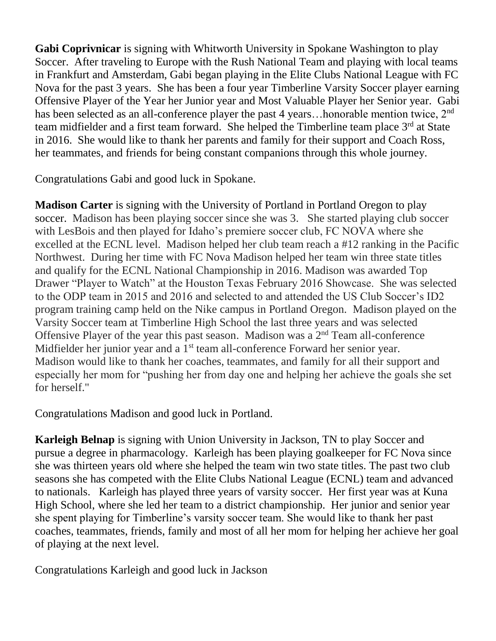**Gabi Coprivnicar** is signing with Whitworth University in Spokane Washington to play Soccer. After traveling to Europe with the Rush National Team and playing with local teams in Frankfurt and Amsterdam, Gabi began playing in the Elite Clubs National League with FC Nova for the past 3 years. She has been a four year Timberline Varsity Soccer player earning Offensive Player of the Year her Junior year and Most Valuable Player her Senior year. Gabi has been selected as an all-conference player the past 4 years... honorable mention twice,  $2<sup>nd</sup>$ team midfielder and a first team forward. She helped the Timberline team place 3<sup>rd</sup> at State in 2016. She would like to thank her parents and family for their support and Coach Ross, her teammates, and friends for being constant companions through this whole journey.

Congratulations Gabi and good luck in Spokane.

**Madison Carter** is signing with the University of Portland in Portland Oregon to play soccer. Madison has been playing soccer since she was 3. She started playing club soccer with LesBois and then played for Idaho's premiere soccer club, FC NOVA where she excelled at the ECNL level. Madison helped her club team reach a #12 ranking in the Pacific Northwest. During her time with FC Nova Madison helped her team win three state titles and qualify for the ECNL National Championship in 2016. Madison was awarded Top Drawer "Player to Watch" at the Houston Texas February 2016 Showcase. She was selected to the ODP team in 2015 and 2016 and selected to and attended the US Club Soccer's ID2 program training camp held on the Nike campus in Portland Oregon. Madison played on the Varsity Soccer team at Timberline High School the last three years and was selected Offensive Player of the year this past season. Madison was a  $2<sup>nd</sup>$  Team all-conference Midfielder her junior year and a  $1<sup>st</sup>$  team all-conference Forward her senior year. Madison would like to thank her coaches, teammates, and family for all their support and especially her mom for "pushing her from day one and helping her achieve the goals she set for herself."

Congratulations Madison and good luck in Portland.

**Karleigh Belnap** is signing with Union University in Jackson, TN to play Soccer and pursue a degree in pharmacology. Karleigh has been playing goalkeeper for FC Nova since she was thirteen years old where she helped the team win two state titles. The past two club seasons she has competed with the Elite Clubs National League (ECNL) team and advanced to nationals. Karleigh has played three years of varsity soccer. Her first year was at Kuna High School, where she led her team to a district championship. Her junior and senior year she spent playing for Timberline's varsity soccer team. She would like to thank her past coaches, teammates, friends, family and most of all her mom for helping her achieve her goal of playing at the next level.

Congratulations Karleigh and good luck in Jackson